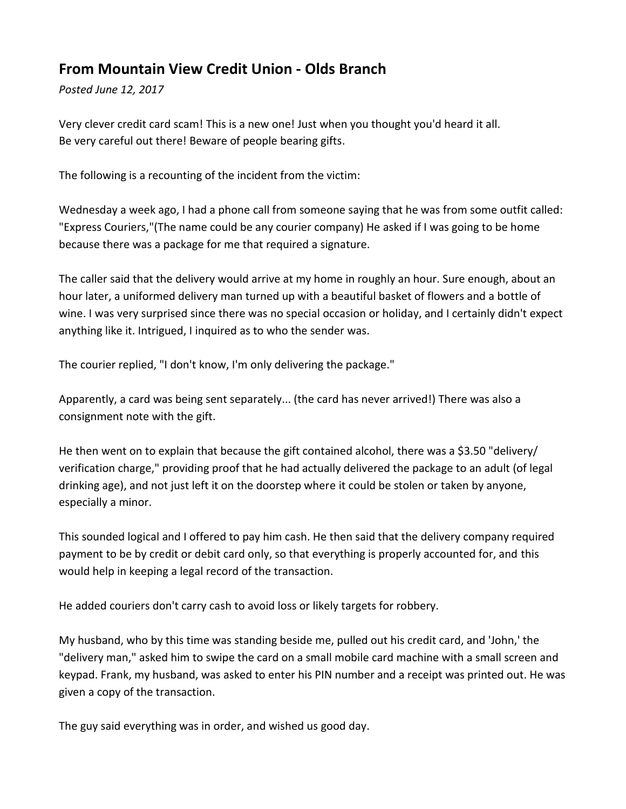## **From Mountain View Credit Union - Olds Branch**

*Posted June 12, 2017*

Very clever credit card scam! This is a new one! Just when you thought you'd heard it all. Be very careful out there! Beware of people bearing gifts.

The following is a recounting of the incident from the victim:

Wednesday a week ago, I had a phone call from someone saying that he was from some outfit called: "Express Couriers,"(The name could be any courier company) He asked if I was going to be home because there was a package for me that required a signature.

The caller said that the delivery would arrive at my home in roughly an hour. Sure enough, about an hour later, a uniformed delivery man turned up with a beautiful basket of flowers and a bottle of wine. I was very surprised since there was no special occasion or holiday, and I certainly didn't expect anything like it. Intrigued, I inquired as to who the sender was.

The courier replied, "I don't know, I'm only delivering the package."

Apparently, a card was being sent separately... (the card has never arrived!) There was also a consignment note with the gift.

He then went on to explain that because the gift contained alcohol, there was a \$3.50 "delivery/ verification charge," providing proof that he had actually delivered the package to an adult (of legal drinking age), and not just left it on the doorstep where it could be stolen or taken by anyone, especially a minor.

This sounded logical and I offered to pay him cash. He then said that the delivery company required payment to be by credit or debit card only, so that everything is properly accounted for, and this would help in keeping a legal record of the transaction.

He added couriers don't carry cash to avoid loss or likely targets for robbery.

My husband, who by this time was standing beside me, pulled out his credit card, and 'John,' the "delivery man," asked him to swipe the card on a small mobile card machine with a small screen and keypad. Frank, my husband, was asked to enter his PIN number and a receipt was printed out. He was given a copy of the transaction.

The guy said everything was in order, and wished us good day.